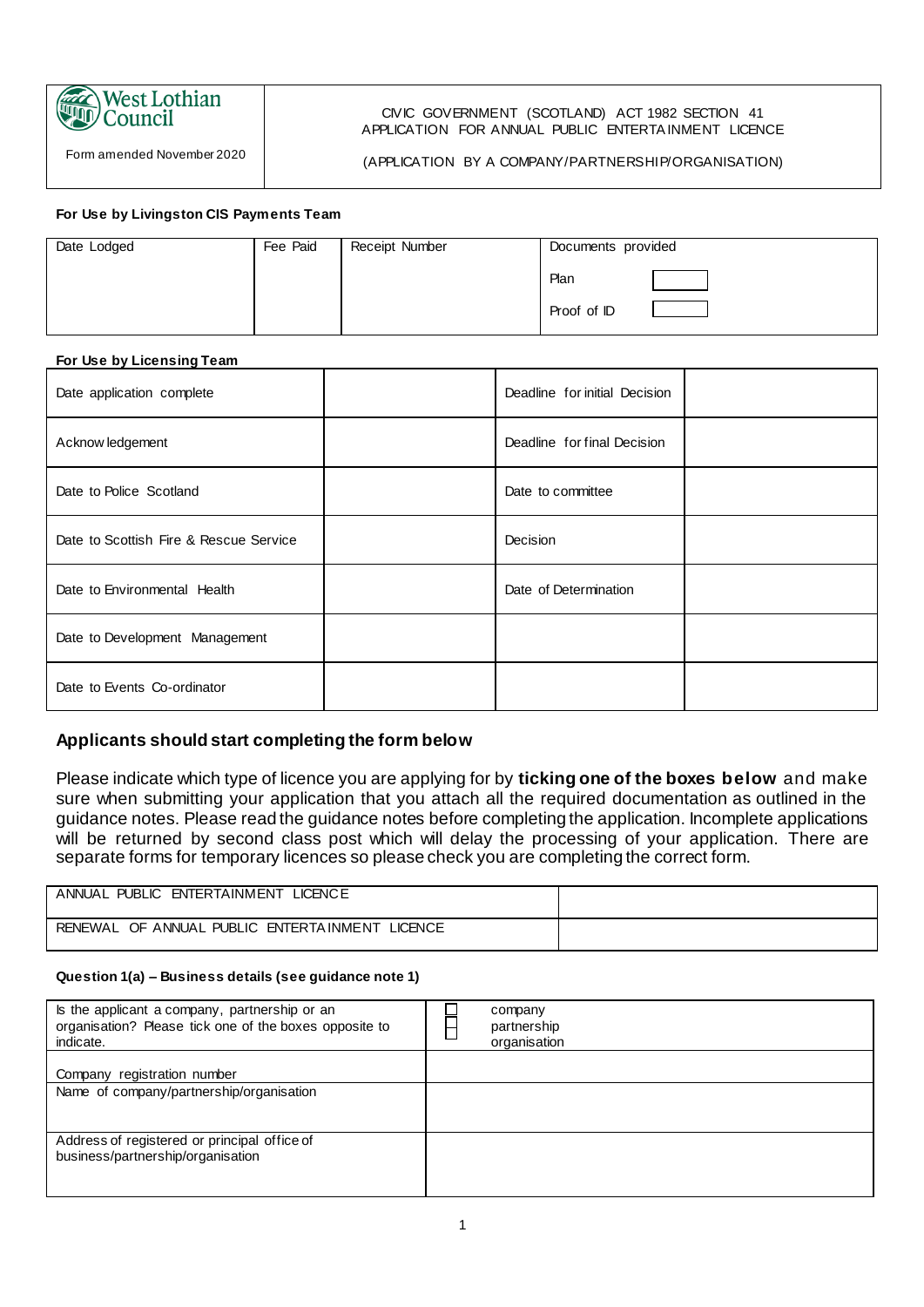

Form amended November 2020

#### CIVIC GOVERNMENT (SCOTLAND) ACT 1982 SECTION 41 APPLICATION FOR ANNUAL PUBLIC ENTERTA INMENT LICENCE

(APPLICATION BY A COMPANY/PARTNERSHIP/ORGANISATION)

#### **For Use by Livingston CIS Payments Team**

| Date Lodged | Fee Paid | Receipt Number | Documents provided |
|-------------|----------|----------------|--------------------|
|             |          |                | Plan               |
|             |          |                | Proof of ID        |

#### **For Use by Licensing Team**

| Date application complete              | Deadline for initial Decision |  |
|----------------------------------------|-------------------------------|--|
| Acknow ledgement                       | Deadline for final Decision   |  |
| Date to Police Scotland                | Date to committee             |  |
| Date to Scottish Fire & Rescue Service | Decision                      |  |
| Date to Environmental Health           | Date of Determination         |  |
| Date to Development Management         |                               |  |
| Date to Events Co-ordinator            |                               |  |

# **Applicants should start completing the form below**

Please indicate which type of licence you are applying for by **ticking one of the boxes below** and make sure when submitting your application that you attach all the required documentation as outlined in the guidance notes. Please read the guidance notes before completing the application. Incomplete applications will be returned by second class post which will delay the processing of your application. There are separate forms for temporary licences so please check you are completing the correct form.

| LICENCE<br><b>PUBLIC</b><br><b>FNTFRTAINMENT</b><br>ANNUAL |  |
|------------------------------------------------------------|--|
| LICENCE<br>OF ANNUAL<br>PUBLIC ENTERTAINMENT<br>RENEWAL    |  |

#### **Question 1(a) – Business details (see guidance note 1)**

| Is the applicant a company, partnership or an<br>organisation? Please tick one of the boxes opposite to<br>indicate. | company<br>partnership<br>organisation |
|----------------------------------------------------------------------------------------------------------------------|----------------------------------------|
| registration number<br>Company                                                                                       |                                        |
| Name of company/partnership/organisation                                                                             |                                        |
| Address of registered or principal office of<br>business/partnership/organisation                                    |                                        |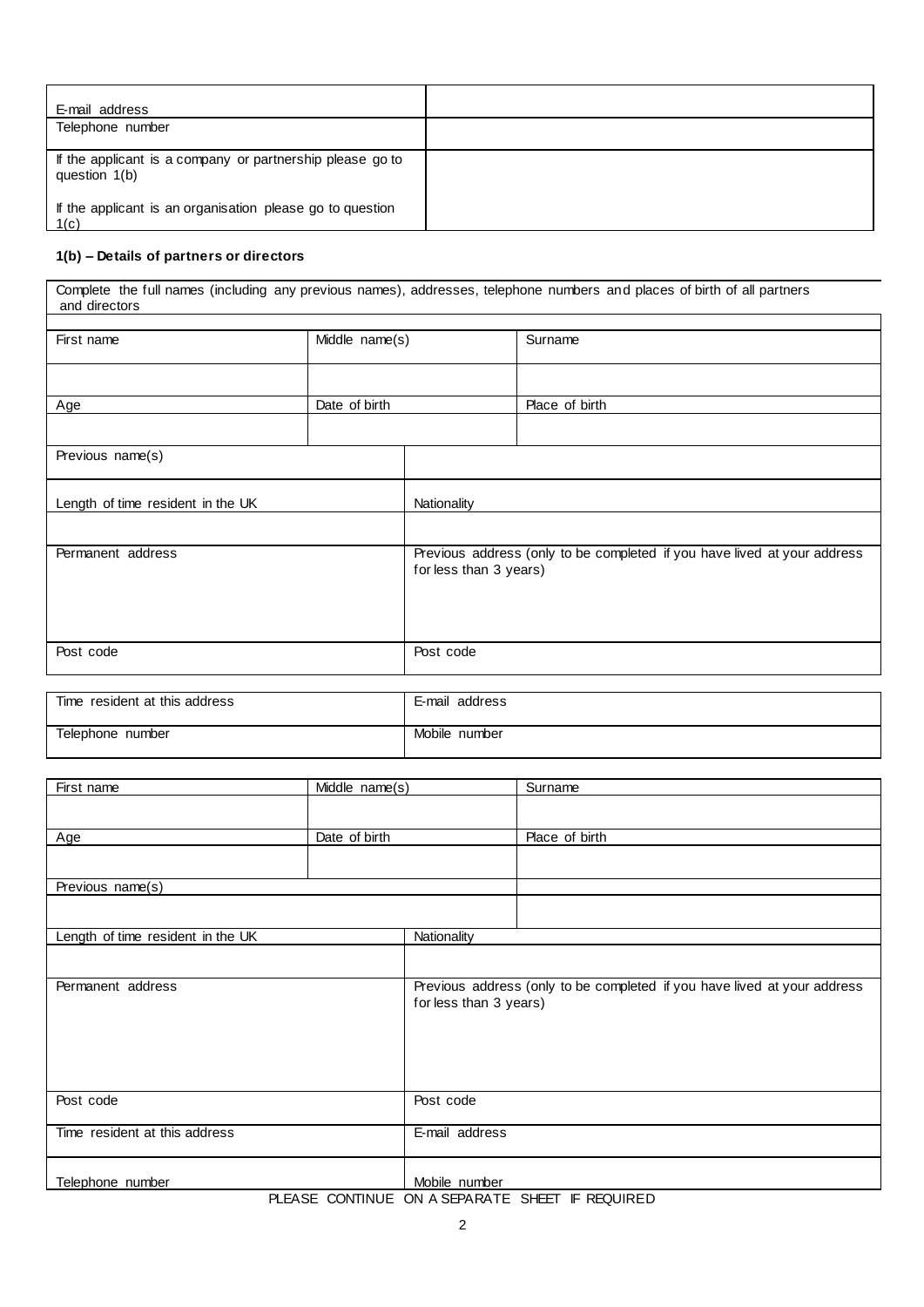| E-mail address                                                             |  |
|----------------------------------------------------------------------------|--|
| Telephone number                                                           |  |
| If the applicant is a company or partnership please go to<br>question 1(b) |  |
| If the applicant is an organisation please go to question<br>  1(c)        |  |

#### **1(b) – Details of partners or directors**

Complete the full names (including any previous names), addresses, telephone numbers and places of birth of all partners and directors

| First name                        | Middle name(s) |                        | Surname                                                                  |
|-----------------------------------|----------------|------------------------|--------------------------------------------------------------------------|
|                                   |                |                        |                                                                          |
|                                   |                |                        |                                                                          |
| Age                               | Date of birth  |                        | Place of birth                                                           |
|                                   |                |                        |                                                                          |
| Previous name(s)                  |                |                        |                                                                          |
| Length of time resident in the UK |                | Nationality            |                                                                          |
|                                   |                |                        |                                                                          |
| Permanent address                 |                | for less than 3 years) | Previous address (only to be completed if you have lived at your address |
| Post code                         |                | Post code              |                                                                          |
|                                   |                |                        |                                                                          |

| Time resident at this address | address<br>E-mail |
|-------------------------------|-------------------|
| Telephone number              | Mobile number     |

| First name                        | $Mid$ dle $name(s)$ |                                                                                                    | Surname        |
|-----------------------------------|---------------------|----------------------------------------------------------------------------------------------------|----------------|
|                                   |                     |                                                                                                    |                |
| Age                               | Date of birth       |                                                                                                    | Place of birth |
|                                   |                     |                                                                                                    |                |
| Previous name(s)                  |                     |                                                                                                    |                |
|                                   |                     |                                                                                                    |                |
| Length of time resident in the UK |                     | Nationality                                                                                        |                |
|                                   |                     |                                                                                                    |                |
| Permanent address                 |                     | Previous address (only to be completed if you have lived at your address<br>for less than 3 years) |                |
| Post code                         |                     | Post code                                                                                          |                |
| Time resident at this address     |                     | E-mail address                                                                                     |                |
| Telephone number                  |                     | Mobile number                                                                                      |                |

#### PLEASE CONTINUE ON A SEPARATE SHEET IF REQUIRED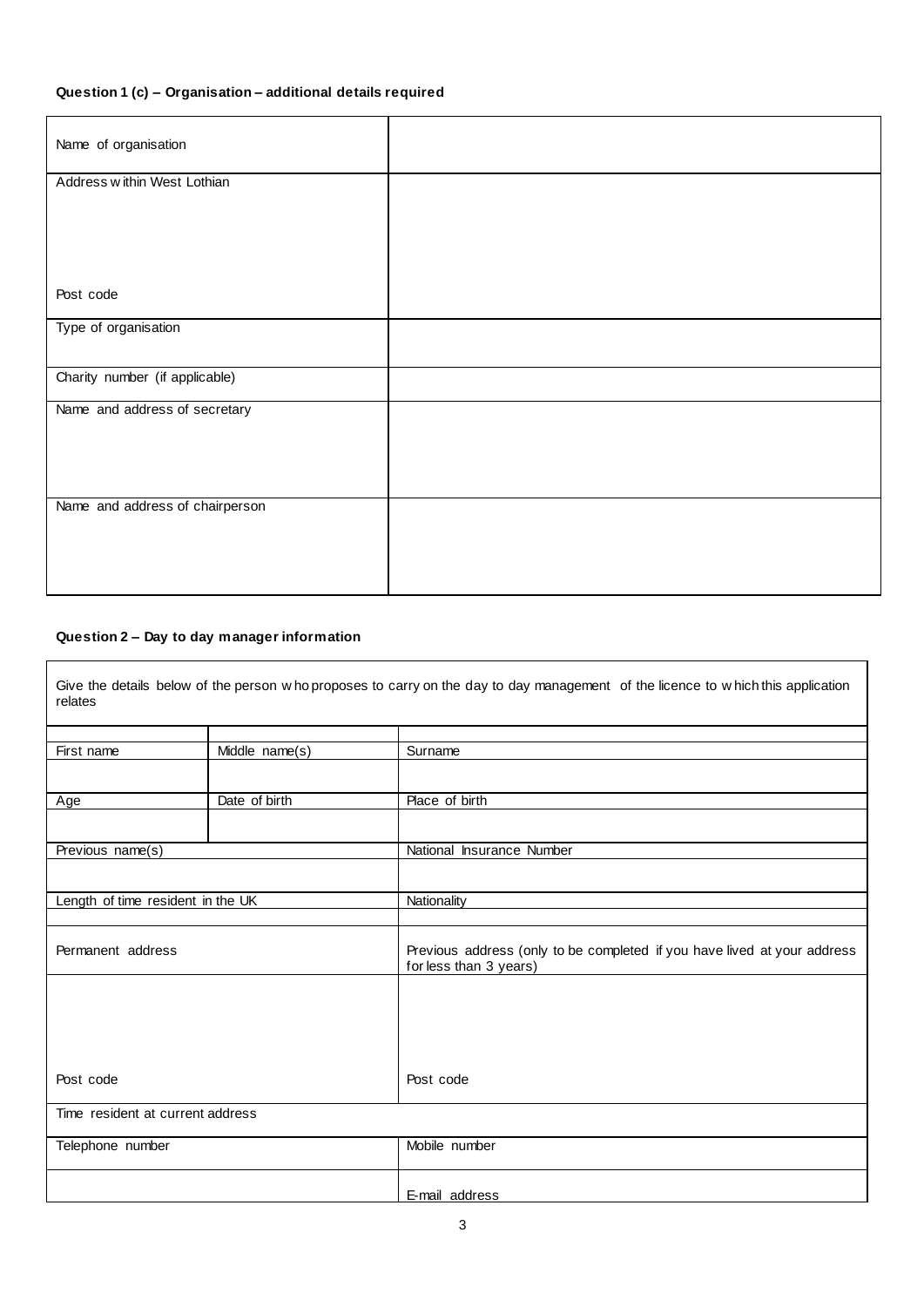# **Question 1 (c) – Organisation – additional details required**

| Name of organisation            |  |
|---------------------------------|--|
| Address within West Lothian     |  |
|                                 |  |
|                                 |  |
|                                 |  |
| Post code                       |  |
| Type of organisation            |  |
|                                 |  |
| Charity number (if applicable)  |  |
| Name and address of secretary   |  |
|                                 |  |
|                                 |  |
| Name and address of chairperson |  |
|                                 |  |
|                                 |  |
|                                 |  |

#### **Question 2 – Day to day manager information**

| Give the details below of the person who proposes to carry on the day to day management of the licence to which this application<br>relates<br>Middle name(s)<br>First name<br>Surname<br>Date of birth<br>Place of birth<br>Age<br>Previous name(s)<br>National Insurance Number<br>Length of time resident in the UK<br>Nationality<br>Permanent address<br>for less than 3 years)<br>Post code<br>Post code<br>Time resident at current address |  |  |                                                                          |
|----------------------------------------------------------------------------------------------------------------------------------------------------------------------------------------------------------------------------------------------------------------------------------------------------------------------------------------------------------------------------------------------------------------------------------------------------|--|--|--------------------------------------------------------------------------|
|                                                                                                                                                                                                                                                                                                                                                                                                                                                    |  |  |                                                                          |
|                                                                                                                                                                                                                                                                                                                                                                                                                                                    |  |  |                                                                          |
|                                                                                                                                                                                                                                                                                                                                                                                                                                                    |  |  |                                                                          |
|                                                                                                                                                                                                                                                                                                                                                                                                                                                    |  |  |                                                                          |
|                                                                                                                                                                                                                                                                                                                                                                                                                                                    |  |  |                                                                          |
|                                                                                                                                                                                                                                                                                                                                                                                                                                                    |  |  |                                                                          |
|                                                                                                                                                                                                                                                                                                                                                                                                                                                    |  |  |                                                                          |
|                                                                                                                                                                                                                                                                                                                                                                                                                                                    |  |  |                                                                          |
|                                                                                                                                                                                                                                                                                                                                                                                                                                                    |  |  |                                                                          |
|                                                                                                                                                                                                                                                                                                                                                                                                                                                    |  |  |                                                                          |
|                                                                                                                                                                                                                                                                                                                                                                                                                                                    |  |  |                                                                          |
|                                                                                                                                                                                                                                                                                                                                                                                                                                                    |  |  | Previous address (only to be completed if you have lived at your address |
|                                                                                                                                                                                                                                                                                                                                                                                                                                                    |  |  |                                                                          |
|                                                                                                                                                                                                                                                                                                                                                                                                                                                    |  |  |                                                                          |
|                                                                                                                                                                                                                                                                                                                                                                                                                                                    |  |  |                                                                          |
|                                                                                                                                                                                                                                                                                                                                                                                                                                                    |  |  |                                                                          |
|                                                                                                                                                                                                                                                                                                                                                                                                                                                    |  |  |                                                                          |
|                                                                                                                                                                                                                                                                                                                                                                                                                                                    |  |  |                                                                          |
|                                                                                                                                                                                                                                                                                                                                                                                                                                                    |  |  |                                                                          |
| Mobile number<br>Telephone number                                                                                                                                                                                                                                                                                                                                                                                                                  |  |  |                                                                          |
| E-mail address                                                                                                                                                                                                                                                                                                                                                                                                                                     |  |  |                                                                          |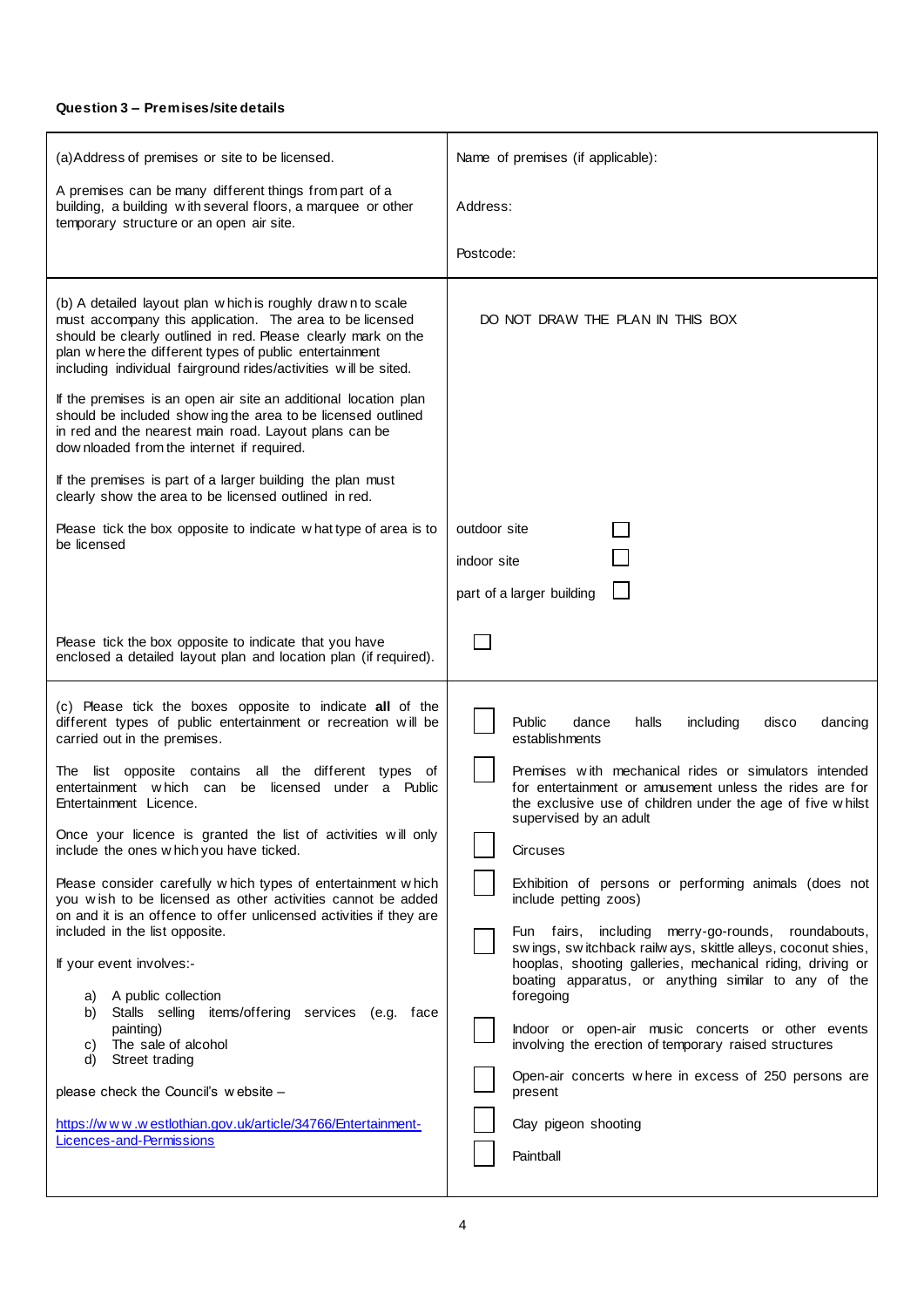#### **Question 3 – Premises/site details**

| (a)Address of premises or site to be licensed.                                                                                                                                                                                                                                                                        | Name of premises (if applicable):                                                                                                                                                                        |
|-----------------------------------------------------------------------------------------------------------------------------------------------------------------------------------------------------------------------------------------------------------------------------------------------------------------------|----------------------------------------------------------------------------------------------------------------------------------------------------------------------------------------------------------|
| A premises can be many different things from part of a<br>building, a building with several floors, a marquee or other<br>temporary structure or an open air site.                                                                                                                                                    | Address:                                                                                                                                                                                                 |
|                                                                                                                                                                                                                                                                                                                       | Postcode:                                                                                                                                                                                                |
| (b) A detailed layout plan w hich is roughly drawn to scale<br>must accompany this application. The area to be licensed<br>should be clearly outlined in red. Please clearly mark on the<br>plan where the different types of public entertainment<br>including individual fairground rides/activities will be sited. | DO NOT DRAW THE PLAN IN THIS BOX                                                                                                                                                                         |
| If the premises is an open air site an additional location plan<br>should be included show ing the area to be licensed outlined<br>in red and the nearest main road. Layout plans can be<br>dow nloaded from the internet if required.                                                                                |                                                                                                                                                                                                          |
| If the premises is part of a larger building the plan must<br>clearly show the area to be licensed outlined in red.                                                                                                                                                                                                   |                                                                                                                                                                                                          |
| Please tick the box opposite to indicate what type of area is to<br>be licensed                                                                                                                                                                                                                                       | outdoor site<br>indoor site<br>part of a larger building                                                                                                                                                 |
| Please tick the box opposite to indicate that you have<br>enclosed a detailed layout plan and location plan (if required).                                                                                                                                                                                            |                                                                                                                                                                                                          |
| (c) Please tick the boxes opposite to indicate all of the<br>different types of public entertainment or recreation will be<br>carried out in the premises.                                                                                                                                                            | Public<br>halls<br>including<br>dancing<br>dance<br>disco<br>establishments                                                                                                                              |
| The list opposite contains all the different types of<br>entertainment which can<br>be licensed under a Public<br>Entertainment Licence.<br>Once your licence is granted the list of activities will only                                                                                                             | Premises with mechanical rides or simulators intended<br>for entertainment or amusement unless the rides are for<br>the exclusive use of children under the age of five whilst<br>supervised by an adult |
| include the ones w hich you have ticked.                                                                                                                                                                                                                                                                              | Circuses                                                                                                                                                                                                 |
| Please consider carefully w hich types of entertainment w hich<br>you wish to be licensed as other activities cannot be added<br>on and it is an offence to offer unlicensed activities if they are<br>included in the list opposite.                                                                                 | Exhibition of persons or performing animals (does not<br>include petting zoos)<br>Fun fairs, including merry-go-rounds, roundabouts,                                                                     |
| If your event involves:-<br>A public collection<br>a)<br>Stalls selling items/offering services (e.g. face<br>b)                                                                                                                                                                                                      | swings, switchback railways, skittle alleys, coconut shies,<br>hooplas, shooting galleries, mechanical riding, driving or<br>boating apparatus, or anything similar to any of the<br>foregoing           |
| painting)<br>The sale of alcohol<br>C)<br>Street trading<br>d)                                                                                                                                                                                                                                                        | Indoor or open-air music concerts or other events<br>involving the erection of temporary raised structures                                                                                               |
| please check the Council's website -                                                                                                                                                                                                                                                                                  | Open-air concerts where in excess of 250 persons are<br>present                                                                                                                                          |
| https://www.westlothian.gov.uk/article/34766/Entertainment-<br>Licences-and-Permissions                                                                                                                                                                                                                               | Clay pigeon shooting<br>Paintball                                                                                                                                                                        |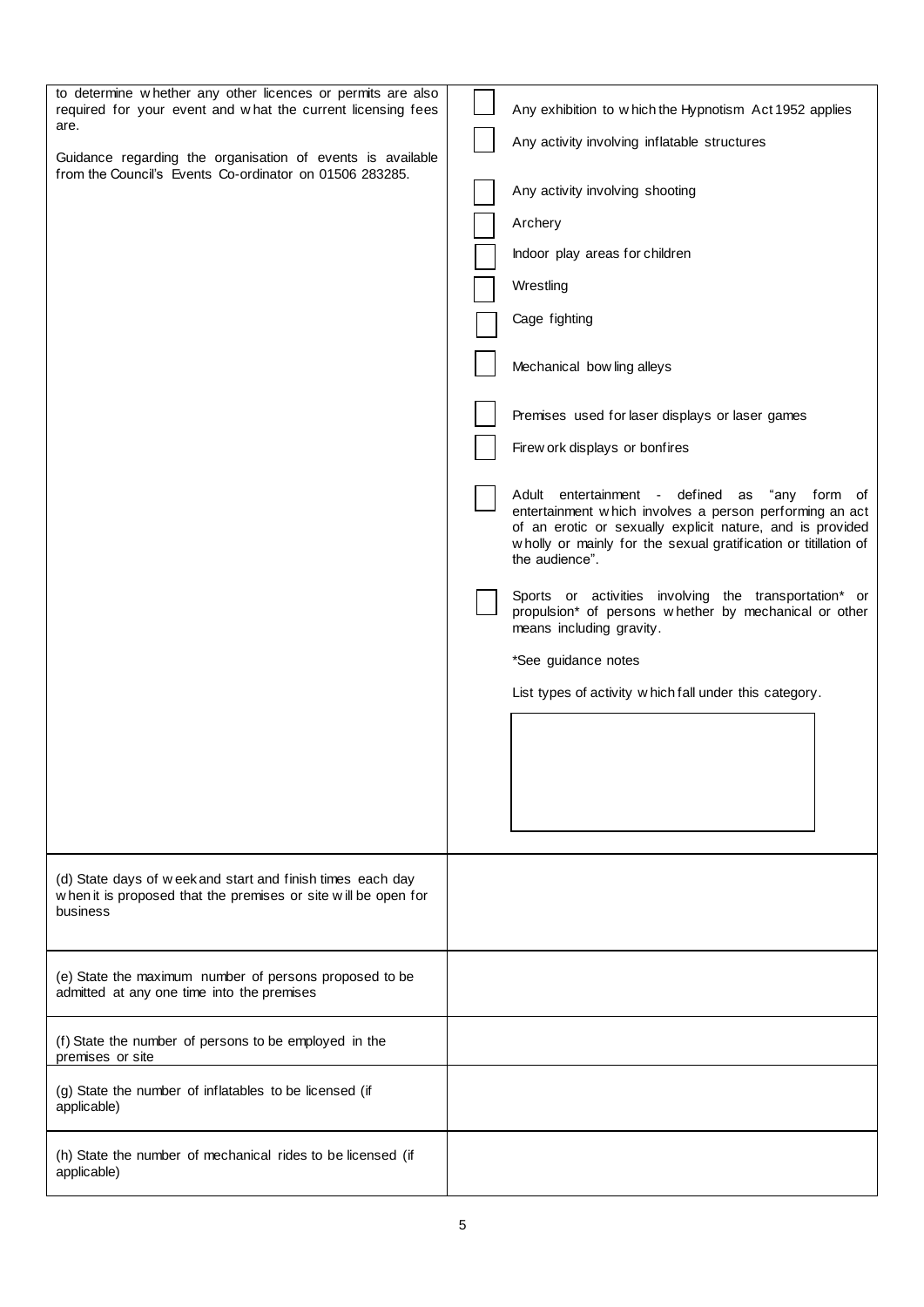| to determine whether any other licences or permits are also<br>required for your event and what the current licensing fees               | Any exhibition to which the Hypnotism Act 1952 applies                                                                                                                                                                                                     |
|------------------------------------------------------------------------------------------------------------------------------------------|------------------------------------------------------------------------------------------------------------------------------------------------------------------------------------------------------------------------------------------------------------|
| are.                                                                                                                                     | Any activity involving inflatable structures                                                                                                                                                                                                               |
| Guidance regarding the organisation of events is available<br>from the Council's Events Co-ordinator on 01506 283285.                    |                                                                                                                                                                                                                                                            |
|                                                                                                                                          | Any activity involving shooting                                                                                                                                                                                                                            |
|                                                                                                                                          | Archery                                                                                                                                                                                                                                                    |
|                                                                                                                                          | Indoor play areas for children                                                                                                                                                                                                                             |
|                                                                                                                                          | Wrestling                                                                                                                                                                                                                                                  |
|                                                                                                                                          | Cage fighting                                                                                                                                                                                                                                              |
|                                                                                                                                          | Mechanical bow ling alleys                                                                                                                                                                                                                                 |
|                                                                                                                                          |                                                                                                                                                                                                                                                            |
|                                                                                                                                          | Premises used for laser displays or laser games                                                                                                                                                                                                            |
|                                                                                                                                          | Firew ork displays or bonfires                                                                                                                                                                                                                             |
|                                                                                                                                          | Adult entertainment - defined as "any form of<br>entertainment which involves a person performing an act<br>of an erotic or sexually explicit nature, and is provided<br>wholly or mainly for the sexual gratification or titillation of<br>the audience". |
|                                                                                                                                          | Sports or activities involving the transportation* or<br>propulsion* of persons whether by mechanical or other<br>means including gravity.                                                                                                                 |
|                                                                                                                                          | *See guidance notes                                                                                                                                                                                                                                        |
|                                                                                                                                          | List types of activity which fall under this category.                                                                                                                                                                                                     |
|                                                                                                                                          |                                                                                                                                                                                                                                                            |
|                                                                                                                                          |                                                                                                                                                                                                                                                            |
|                                                                                                                                          |                                                                                                                                                                                                                                                            |
|                                                                                                                                          |                                                                                                                                                                                                                                                            |
|                                                                                                                                          |                                                                                                                                                                                                                                                            |
| (d) State days of week and start and finish times each day<br>when it is proposed that the premises or site will be open for<br>business |                                                                                                                                                                                                                                                            |
| (e) State the maximum number of persons proposed to be                                                                                   |                                                                                                                                                                                                                                                            |
| admitted at any one time into the premises                                                                                               |                                                                                                                                                                                                                                                            |
| (f) State the number of persons to be employed in the<br>premises or site                                                                |                                                                                                                                                                                                                                                            |
| (g) State the number of inflatables to be licensed (if<br>applicable)                                                                    |                                                                                                                                                                                                                                                            |
| (h) State the number of mechanical rides to be licensed (if<br>applicable)                                                               |                                                                                                                                                                                                                                                            |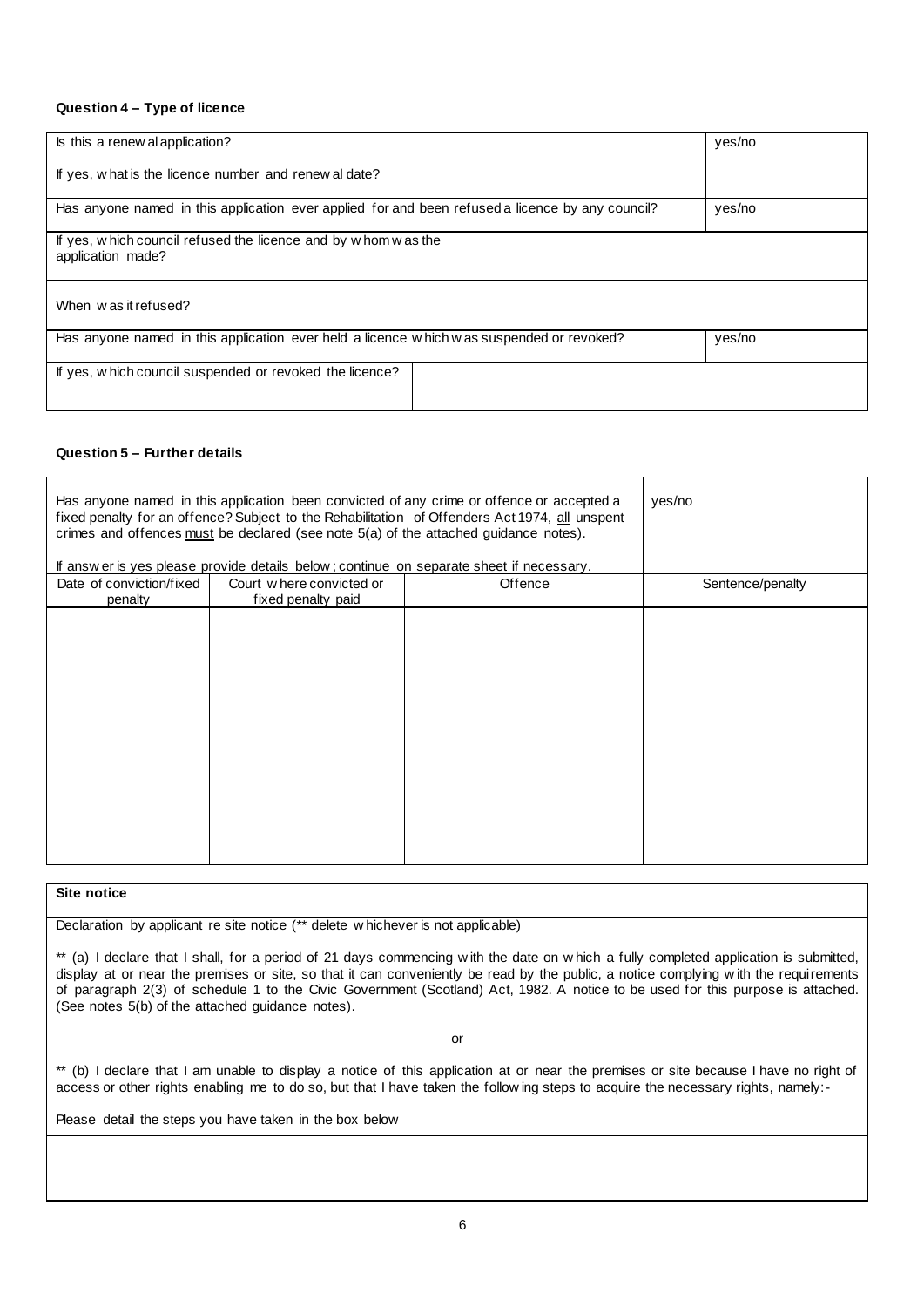#### **Question 4 – Type of licence**

| Is this a renew al application?                                                                  | yes/no |
|--------------------------------------------------------------------------------------------------|--------|
| If yes, what is the licence number and renew al date?                                            |        |
| Has anyone named in this application ever applied for and been refused a licence by any council? | yes/no |
| If yes, which council refused the licence and by whom was the<br>application made?               |        |
| When was it refused?                                                                             |        |
| Has anyone named in this application ever held a licence which was suspended or revoked?         | yes/no |
| If yes, which council suspended or revoked the licence?                                          |        |

#### **Question 5 – Further details**

| Has anyone named in this application been convicted of any crime or offence or accepted a<br>fixed penalty for an offence? Subject to the Rehabilitation of Offenders Act 1974, all unspent<br>crimes and offences must be declared (see note 5(a) of the attached guidance notes).<br>If answ er is yes please provide details below; continue on separate sheet if necessary. |                                                | yes/no  |                  |
|---------------------------------------------------------------------------------------------------------------------------------------------------------------------------------------------------------------------------------------------------------------------------------------------------------------------------------------------------------------------------------|------------------------------------------------|---------|------------------|
| Date of conviction/fixed<br>penalty                                                                                                                                                                                                                                                                                                                                             | Court where convicted or<br>fixed penalty paid | Offence | Sentence/penalty |
|                                                                                                                                                                                                                                                                                                                                                                                 |                                                |         |                  |
|                                                                                                                                                                                                                                                                                                                                                                                 |                                                |         |                  |
|                                                                                                                                                                                                                                                                                                                                                                                 |                                                |         |                  |
|                                                                                                                                                                                                                                                                                                                                                                                 |                                                |         |                  |
|                                                                                                                                                                                                                                                                                                                                                                                 |                                                |         |                  |
|                                                                                                                                                                                                                                                                                                                                                                                 |                                                |         |                  |
|                                                                                                                                                                                                                                                                                                                                                                                 |                                                |         |                  |

#### **Site notice**

Declaration by applicant re site notice (\*\* delete w hichever is not applicable)

\*\* (a) I declare that I shall, for a period of 21 days commencing with the date on w hich a fully completed application is submitted, display at or near the premises or site, so that it can conveniently be read by the public, a notice complying w ith the requirements of paragraph 2(3) of schedule 1 to the Civic Government (Scotland) Act, 1982. A notice to be used for this purpose is attached. (See notes 5(b) of the attached guidance notes).

or

\*\* (b) I declare that I am unable to display a notice of this application at or near the premises or site because I have no right of access or other rights enabling me to do so, but that I have taken the follow ing steps to acquire the necessary rights, namely:-

Please detail the steps you have taken in the box below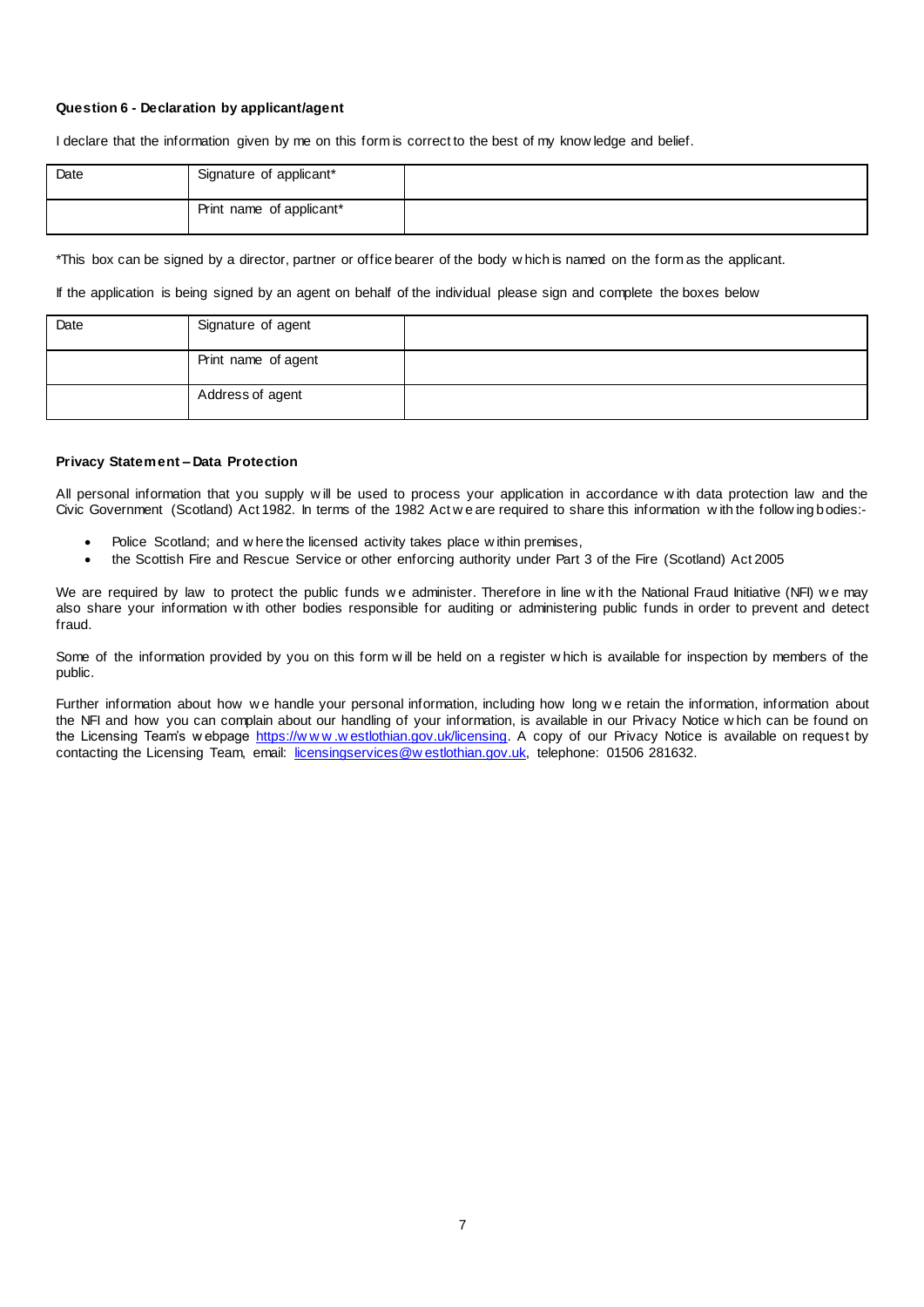#### **Question 6 - Declaration by applicant/agent**

I declare that the information given by me on this form is correct to the best of my know ledge and belief.

| Date | Signature of applicant*  |  |
|------|--------------------------|--|
|      | Print name of applicant* |  |

\*This box can be signed by a director, partner or office bearer of the body w hich is named on the form as the applicant.

If the application is being signed by an agent on behalf of the individual please sign and complete the boxes below

| Date | Signature of agent  |  |
|------|---------------------|--|
|      | Print name of agent |  |
|      | Address of agent    |  |

#### **Privacy Statement – Data Protection**

All personal information that you supply w ill be used to process your application in accordance w ith data protection law and the Civic Government (Scotland) Act 1982. In terms of the 1982 Act w e are required to share this information w ith the follow ing bodies:-

- Police Scotland; and w here the licensed activity takes place w ithin premises,
- the Scottish Fire and Rescue Service or other enforcing authority under Part 3 of the Fire (Scotland) Act 2005

We are required by law to protect the public funds we administer. Therefore in line with the National Fraud Initiative (NFI) we may also share your information w ith other bodies responsible for auditing or administering public funds in order to prevent and detect fraud.

Some of the information provided by you on this form w ill be held on a register w hich is available for inspection by members of the public.

Further information about how we handle your personal information, including how long we retain the information, information about the NFI and how you can complain about our handling of your information, is available in our Privacy Notice w hich can be found on the Licensing Team's w ebpage https://www.westlothian.gov.uk/licensing</u>. A copy of our Privacy Notice is available on request by contacting the Licensing Team, email: [licensingservices@w estlothian.gov.uk,](mailto:licensingservices@westlothian.gov.uk) telephone: 01506 281632.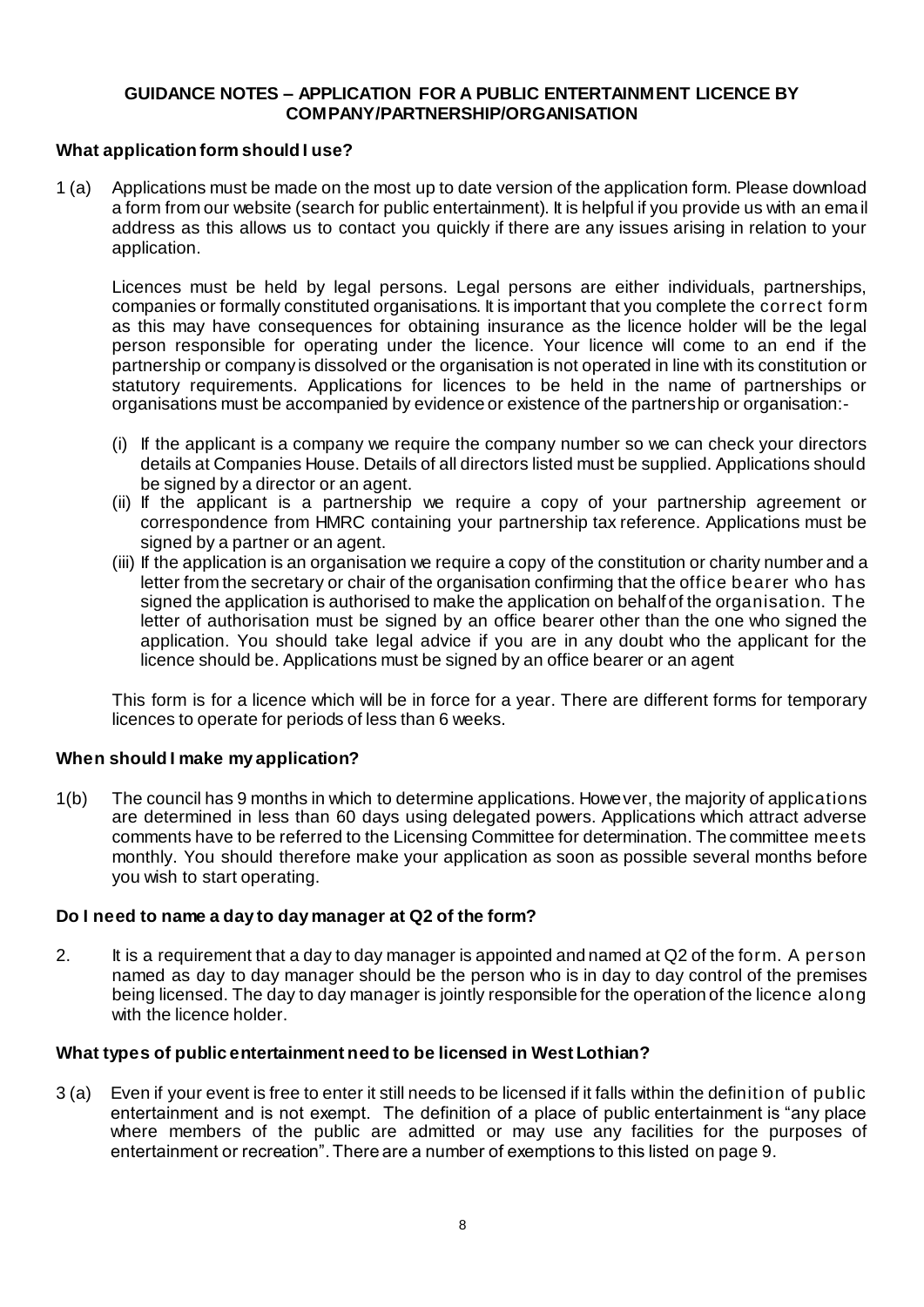#### **GUIDANCE NOTES – APPLICATION FOR A PUBLIC ENTERTAINMENT LICENCE BY COMPANY/PARTNERSHIP/ORGANISATION**

#### **What application form should I use?**

1 (a) Applications must be made on the most up to date version of the application form. Please download a form from our website (search for public entertainment). It is helpful if you provide us with an ema il address as this allows us to contact you quickly if there are any issues arising in relation to your application.

Licences must be held by legal persons. Legal persons are either individuals, partnerships, companies or formally constituted organisations. It is important that you complete the correct form as this may have consequences for obtaining insurance as the licence holder will be the legal person responsible for operating under the licence. Your licence will come to an end if the partnership or company is dissolved or the organisation is not operated in line with its constitution or statutory requirements. Applications for licences to be held in the name of partnerships or organisations must be accompanied by evidence or existence of the partnership or organisation:-

- (i) If the applicant is a company we require the company number so we can check your directors details at Companies House. Details of all directors listed must be supplied. Applications should be signed by a director or an agent.
- (ii) If the applicant is a partnership we require a copy of your partnership agreement or correspondence from HMRC containing your partnership tax reference. Applications must be signed by a partner or an agent.
- (iii) If the application is an organisation we require a copy of the constitution or charity number and a letter from the secretary or chair of the organisation confirming that the office bearer who has signed the application is authorised to make the application on behalf of the organisation. The letter of authorisation must be signed by an office bearer other than the one who signed the application. You should take legal advice if you are in any doubt who the applicant for the licence should be. Applications must be signed by an office bearer or an agent

This form is for a licence which will be in force for a year. There are different forms for temporary licences to operate for periods of less than 6 weeks.

# **When should I make my application?**

1(b) The council has 9 months in which to determine applications. However, the majority of applications are determined in less than 60 days using delegated powers. Applications which attract adverse comments have to be referred to the Licensing Committee for determination. The committee meets monthly. You should therefore make your application as soon as possible several months before you wish to start operating.

#### **Do I need to name a day to day manager at Q2 of the form?**

2. It is a requirement that a day to day manager is appointed and named at Q2 of the form. A person named as day to day manager should be the person who is in day to day control of the premises being licensed. The day to day manager is jointly responsible for the operation of the licence along with the licence holder.

#### **What types of public entertainment need to be licensed in West Lothian?**

3 (a) Even if your event is free to enter it still needs to be licensed if it falls within the definition of public entertainment and is not exempt. The definition of a place of public entertainment is "any place where members of the public are admitted or may use any facilities for the purposes of entertainment or recreation". There are a number of exemptions to this listed on page 9.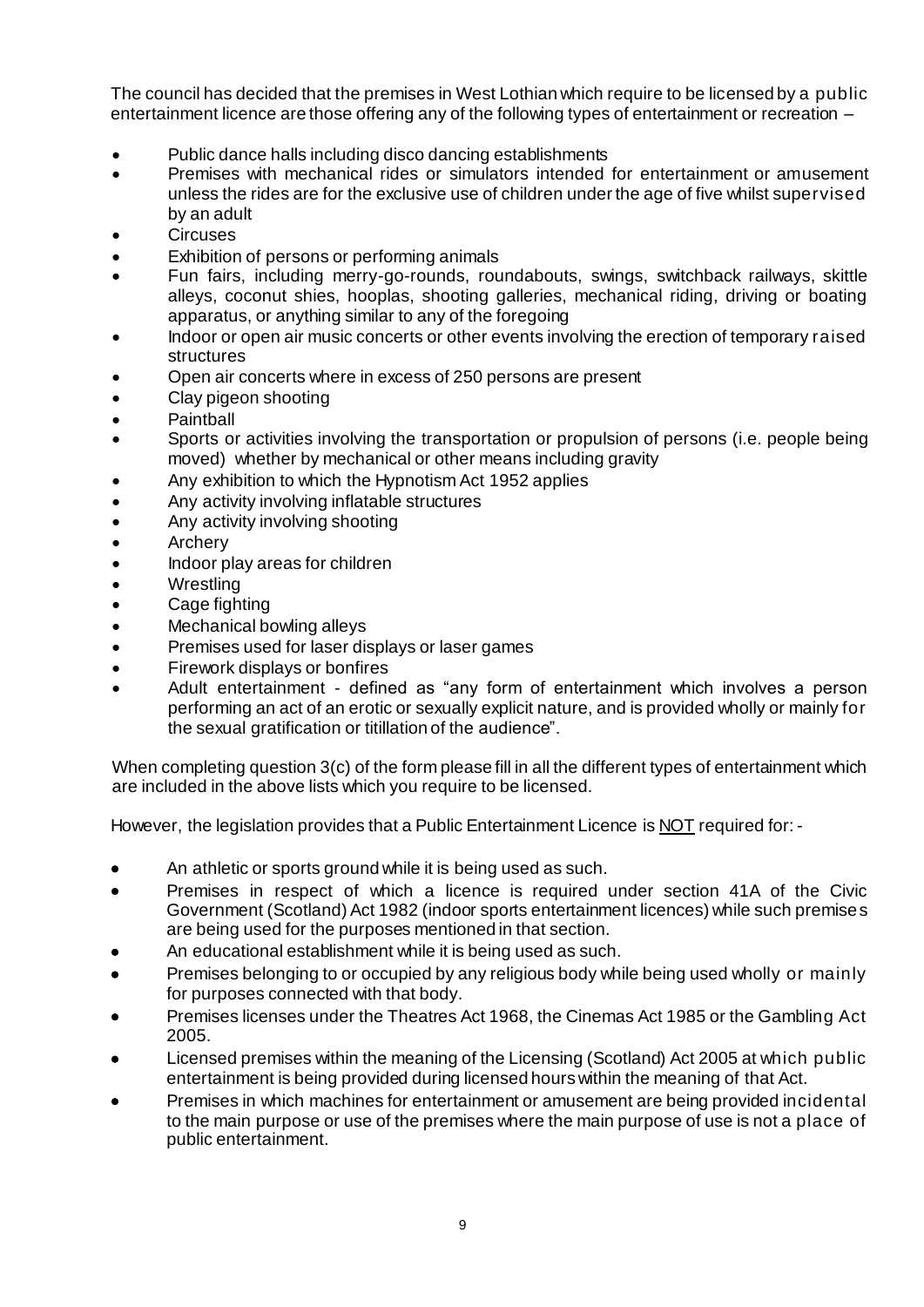The council has decided that the premises in West Lothian which require to be licensed by a public entertainment licence are those offering any of the following types of entertainment or recreation –

- Public dance halls including disco dancing establishments
- Premises with mechanical rides or simulators intended for entertainment or amusement unless the rides are for the exclusive use of children under the age of five whilst supervised by an adult
- **Circuses**
- Exhibition of persons or performing animals
- Fun fairs, including merry-go-rounds, roundabouts, swings, switchback railways, skittle alleys, coconut shies, hooplas, shooting galleries, mechanical riding, driving or boating apparatus, or anything similar to any of the foregoing
- Indoor or open air music concerts or other events involving the erection of temporary raised structures
- Open air concerts where in excess of 250 persons are present
- Clay pigeon shooting
- Paintball
- Sports or activities involving the transportation or propulsion of persons (i.e. people being moved) whether by mechanical or other means including gravity
- Any exhibition to which the Hypnotism Act 1952 applies
- Any activity involving inflatable structures
- Any activity involving shooting
- **Archery**
- Indoor play areas for children
- **Wrestling**
- Cage fighting
- Mechanical bowling alleys
- Premises used for laser displays or laser games
- Firework displays or bonfires
- Adult entertainment defined as "any form of entertainment which involves a person performing an act of an erotic or sexually explicit nature, and is provided wholly or mainly for the sexual gratification or titillation of the audience".

When completing question 3(c) of the form please fill in all the different types of entertainment which are included in the above lists which you require to be licensed.

However, the legislation provides that a Public Entertainment Licence is NOT required for: -

- An athletic or sports ground while it is being used as such.
- Premises in respect of which a licence is required under section 41A of the Civic Government (Scotland) Act 1982 (indoor sports entertainment licences) while such premises are being used for the purposes mentioned in that section.
- An educational establishment while it is being used as such.
- Premises belonging to or occupied by any religious body while being used wholly or mainly for purposes connected with that body.
- Premises licenses under the Theatres Act 1968, the Cinemas Act 1985 or the Gambling Act 2005.
- Licensed premises within the meaning of the Licensing (Scotland) Act 2005 at which public entertainment is being provided during licensed hours within the meaning of that Act.
- Premises in which machines for entertainment or amusement are being provided incidental to the main purpose or use of the premises where the main purpose of use is not a place of public entertainment.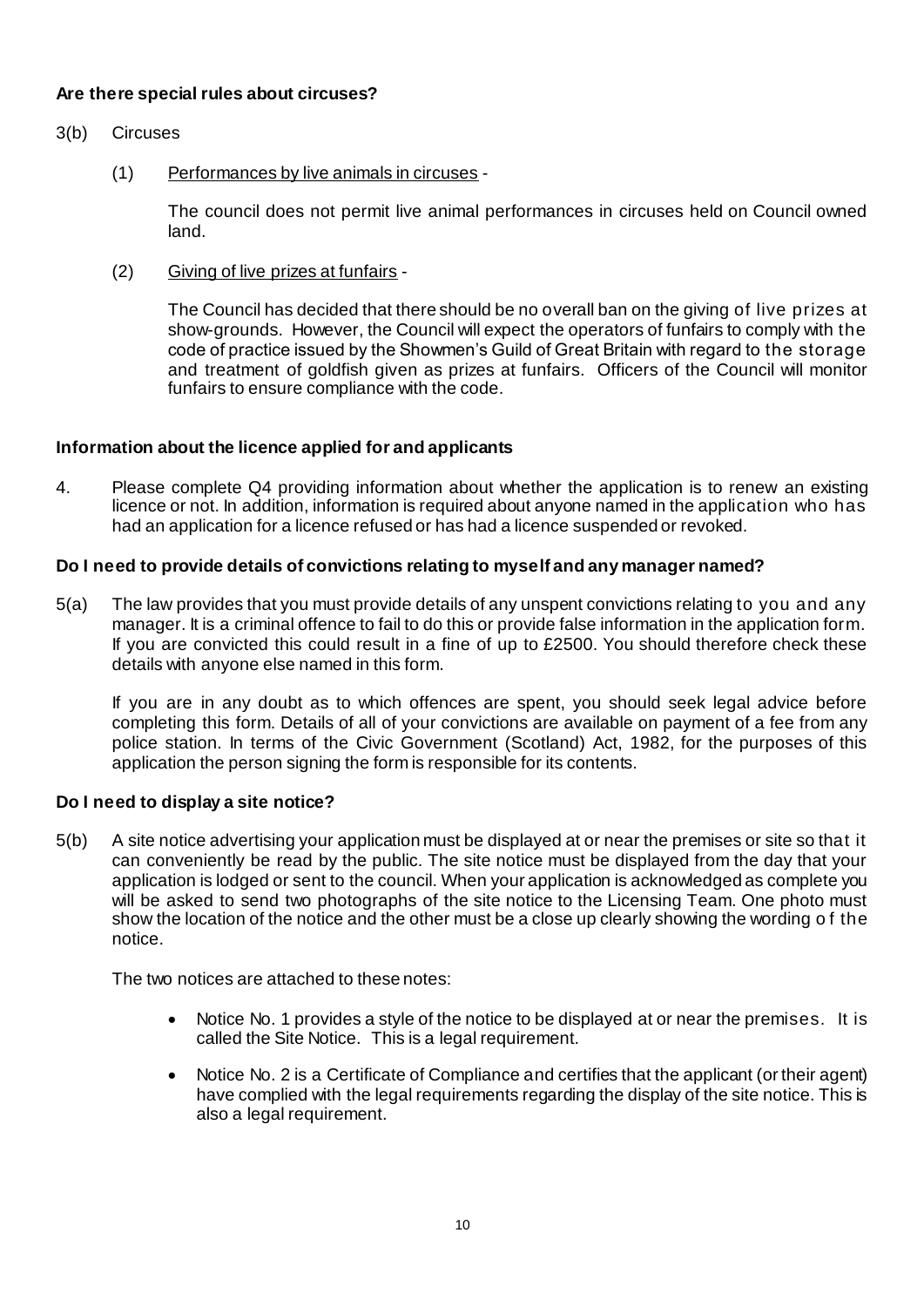# **Are there special rules about circuses?**

- 3(b) Circuses
	- (1) Performances by live animals in circuses -

The council does not permit live animal performances in circuses held on Council owned land.

(2) Giving of live prizes at funfairs -

The Council has decided that there should be no overall ban on the giving of live prizes at show-grounds. However, the Council will expect the operators of funfairs to comply with the code of practice issued by the Showmen's Guild of Great Britain with regard to the storage and treatment of goldfish given as prizes at funfairs. Officers of the Council will monitor funfairs to ensure compliance with the code.

# **Information about the licence applied for and applicants**

4. Please complete Q4 providing information about whether the application is to renew an existing licence or not. In addition, information is required about anyone named in the application who has had an application for a licence refused or has had a licence suspended or revoked.

# **Do I need to provide details of convictions relating to myself and any manager named?**

5(a) The law provides that you must provide details of any unspent convictions relating to you and any manager. It is a criminal offence to fail to do this or provide false information in the application form. If you are convicted this could result in a fine of up to £2500. You should therefore check these details with anyone else named in this form.

If you are in any doubt as to which offences are spent, you should seek legal advice before completing this form. Details of all of your convictions are available on payment of a fee from any police station. In terms of the Civic Government (Scotland) Act, 1982, for the purposes of this application the person signing the form is responsible for its contents.

# **Do I need to display a site notice?**

5(b) A site notice advertising your application must be displayed at or near the premises or site so that it can conveniently be read by the public. The site notice must be displayed from the day that your application is lodged or sent to the council. When your application is acknowledged as complete you will be asked to send two photographs of the site notice to the Licensing Team. One photo must show the location of the notice and the other must be a close up clearly showing the wording o f the notice.

The two notices are attached to these notes:

- Notice No. 1 provides a style of the notice to be displayed at or near the premises. It is called the Site Notice. This is a legal requirement.
- Notice No. 2 is a Certificate of Compliance and certifies that the applicant (or their agent) have complied with the legal requirements regarding the display of the site notice. This is also a legal requirement.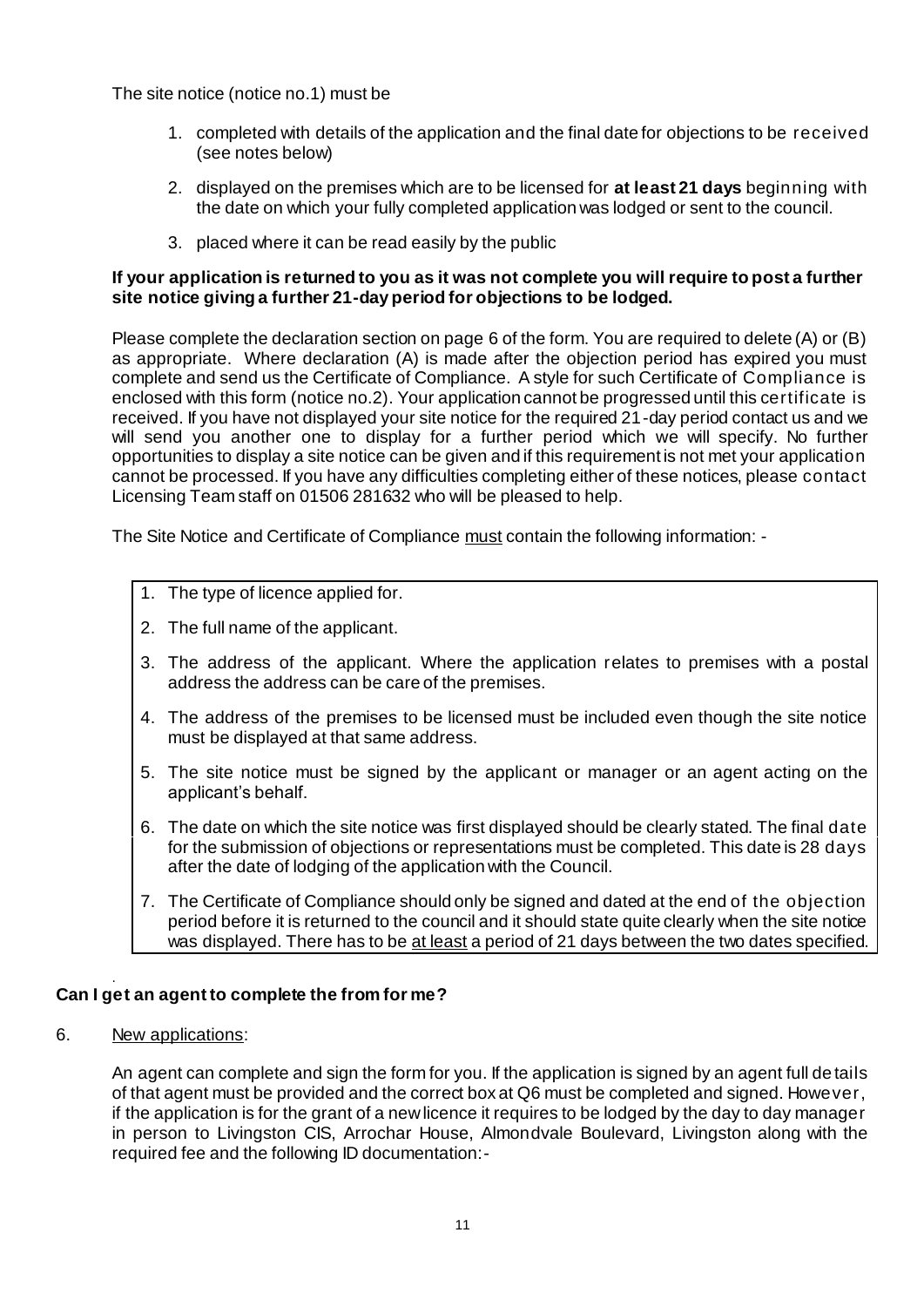The site notice (notice no.1) must be

- 1. completed with details of the application and the final date for objections to be received (see notes below)
- 2. displayed on the premises which are to be licensed for **at least 21 days** beginning with the date on which your fully completed application was lodged or sent to the council.
- 3. placed where it can be read easily by the public

# **If your application is returned to you as it was not complete you will require to post a further site notice giving a further 21-day period for objections to be lodged.**

Please complete the declaration section on page 6 of the form. You are required to delete (A) or (B) as appropriate. Where declaration (A) is made after the objection period has expired you must complete and send us the Certificate of Compliance. A style for such Certificate of Compliance is enclosed with this form (notice no.2). Your application cannot be progressed until this certificate is received. If you have not displayed your site notice for the required 21-day period contact us and we will send you another one to display for a further period which we will specify. No further opportunities to display a site notice can be given and if this requirement is not met your application cannot be processed. If you have any difficulties completing either of these notices, please contact Licensing Team staff on 01506 281632 who will be pleased to help.

The Site Notice and Certificate of Compliance must contain the following information: -

- 1. The type of licence applied for.
- 2. The full name of the applicant.
- 3. The address of the applicant. Where the application relates to premises with a postal address the address can be care of the premises.
- 4. The address of the premises to be licensed must be included even though the site notice must be displayed at that same address.
- 5. The site notice must be signed by the applicant or manager or an agent acting on the applicant's behalf.
- 6. The date on which the site notice was first displayed should be clearly stated. The final date for the submission of objections or representations must be completed. This date is 28 days after the date of lodging of the application with the Council.
- 7. The Certificate of Compliance should only be signed and dated at the end of the objection period before it is returned to the council and it should state quite clearly when the site notice was displayed. There has to be at least a period of 21 days between the two dates specified.

#### . **Can I get an agent to complete the from for me?**

6. New applications:

An agent can complete and sign the form for you. If the application is signed by an agent full de tails of that agent must be provided and the correct box at Q6 must be completed and signed. However, if the application is for the grant of a new licence it requires to be lodged by the day to day manager in person to Livingston CIS, Arrochar House, Almondvale Boulevard, Livingston along with the required fee and the following ID documentation:-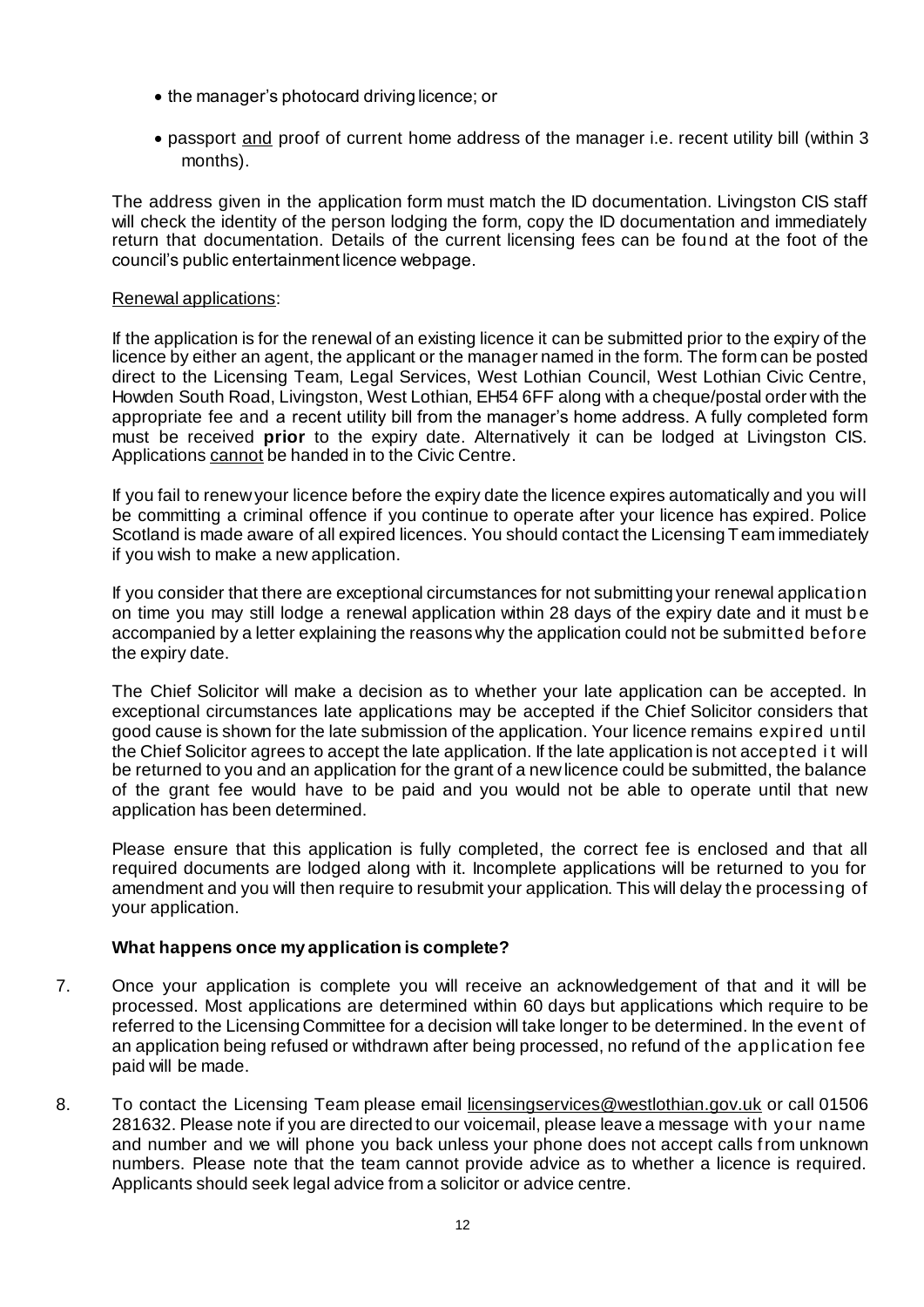- the manager's photocard driving licence; or
- passport and proof of current home address of the manager i.e. recent utility bill (within 3 months).

The address given in the application form must match the ID documentation. Livingston CIS staff will check the identity of the person lodging the form, copy the ID documentation and immediately return that documentation. Details of the current licensing fees can be found at the foot of the council's public entertainment licence webpage.

#### Renewal applications:

If the application is for the renewal of an existing licence it can be submitted prior to the expiry of the licence by either an agent, the applicant or the manager named in the form. The form can be posted direct to the Licensing Team, Legal Services, West Lothian Council, West Lothian Civic Centre, Howden South Road, Livingston, West Lothian, EH54 6FF along with a cheque/postal order with the appropriate fee and a recent utility bill from the manager's home address. A fully completed form must be received **prior** to the expiry date. Alternatively it can be lodged at Livingston CIS. Applications cannot be handed in to the Civic Centre.

If you fail to renew your licence before the expiry date the licence expires automatically and you will be committing a criminal offence if you continue to operate after your licence has expired. Police Scotland is made aware of all expired licences. You should contact the Licensing Team immediately if you wish to make a new application.

If you consider that there are exceptional circumstances for not submitting your renewal application on time you may still lodge a renewal application within 28 days of the expiry date and it must b e accompanied by a letter explaining the reasons why the application could not be submitted before the expiry date.

The Chief Solicitor will make a decision as to whether your late application can be accepted. In exceptional circumstances late applications may be accepted if the Chief Solicitor considers that good cause is shown for the late submission of the application. Your licence remains expired until the Chief Solicitor agrees to accept the late application. If the late application is not accepted i t will be returned to you and an application for the grant of a new licence could be submitted, the balance of the grant fee would have to be paid and you would not be able to operate until that new application has been determined.

Please ensure that this application is fully completed, the correct fee is enclosed and that all required documents are lodged along with it. Incomplete applications will be returned to you for amendment and you will then require to resubmit your application. This will delay the processing of your application.

# **What happens once my application is complete?**

- 7. Once your application is complete you will receive an acknowledgement of that and it will be processed. Most applications are determined within 60 days but applications which require to be referred to the Licensing Committee for a decision will take longer to be determined. In the event of an application being refused or withdrawn after being processed, no refund of the application fee paid will be made.
- 8. To contact the Licensing Team please email licensingservices@westlothian.gov.uk or call 01506 281632. Please note if you are directed to our voicemail, please leave a message with your name and number and we will phone you back unless your phone does not accept calls from unknown numbers. Please note that the team cannot provide advice as to whether a licence is required. Applicants should seek legal advice from a solicitor or advice centre.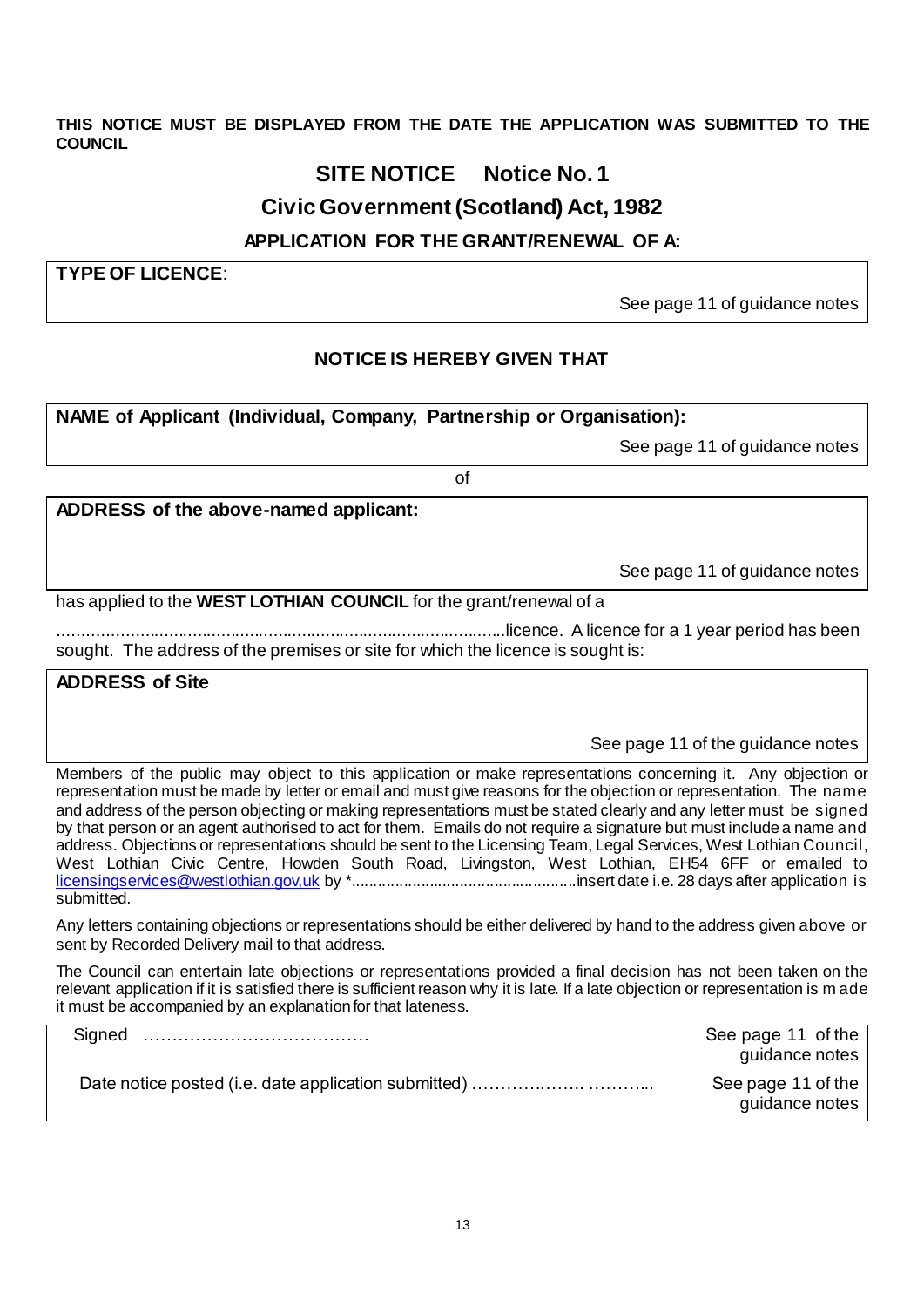**THIS NOTICE MUST BE DISPLAYED FROM THE DATE THE APPLICATION WAS SUBMITTED TO THE COUNCIL**

# **SITE NOTICE Notice No. 1**

# **Civic Government (Scotland) Act, 1982**

# **APPLICATION FOR THE GRANT/RENEWAL OF A:**

**TYPE OF LICENCE**:

See page 11 of guidance notes

# **NOTICE IS HEREBY GIVEN THAT**

# **NAME of Applicant (Individual, Company, Partnership or Organisation):**

See page 11 of guidance notes

of

**ADDRESS of the above-named applicant:**

See page 11 of guidance notes

has applied to the **WEST LOTHIAN COUNCIL** for the grant/renewal of a

..............................................................................................licence. A licence for a 1 year period has been sought. The address of the premises or site for which the licence is sought is:

# **ADDRESS of Site**

See page 11 of the guidance notes

Members of the public may object to this application or make representations concerning it. Any objection or representation must be made by letter or email and must give reasons for the objection or representation. The name and address of the person objecting or making representations must be stated clearly and any letter must be signed by that person or an agent authorised to act for them. Emails do not require a signature but must include a name and address. Objections or representations should be sent to the Licensing Team, Legal Services, West Lothian Council, West Lothian Civic Centre, Howden South Road, Livingston, West Lothian, EH54 6FF or emailed to [licensingservices@westlothian.gov,uk](mailto:licensingservices@westlothian.gov,uk) by \*....................................................insert date i.e. 28 days after application is submitted.

Any letters containing objections or representations should be either delivered by hand to the address given above or sent by Recorded Delivery mail to that address.

The Council can entertain late objections or representations provided a final decision has not been taken on the relevant application if it is satisfied there is sufficient reason why it is late. If a late objection or representation is m ade it must be accompanied by an explanation for that lateness.

| Signed | See page 11 of the<br>guidance notes |
|--------|--------------------------------------|
|        | See page 11 of the                   |
|        | guidance notes                       |